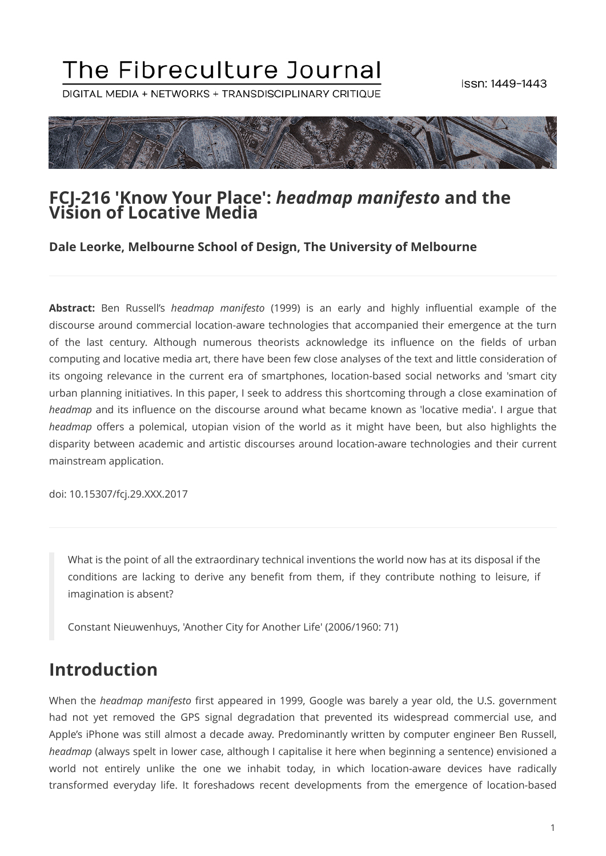# The Fibreculture Journal

DIGITAL MEDIA + NETWORKS + TRANSDISCIPLINARY CRITIQUE



#### **FCJ-216 'Know Your Place':** *headmap manifesto* **and the Vision of Locative Media**

#### **Dale Leorke, Melbourne School of Design, The University of Melbourne**

**Abstract:** Ben Russell's *headmap manifesto* (1999) is an early and highly influential example of the discourse around commercial location-aware technologies that accompanied their emergence at the turn of the last century. Although numerous theorists acknowledge its influence on the fields of urban computing and locative media art, there have been few close analyses of the text and little consideration of its ongoing relevance in the current era of smartphones, location-based social networks and 'smart city urban planning initiatives. In this paper, I seek to address this shortcoming through a close examination of *headmap* and its influence on the discourse around what became known as 'locative media'. I argue that *headmap* offers a polemical, utopian vision of the world as it might have been, but also highlights the disparity between academic and artistic discourses around location-aware technologies and their current mainstream application.

doi: 10.15307/fcj.29.XXX.2017

What is the point of all the extraordinary technical inventions the world now has at its disposal if the conditions are lacking to derive any benefit from them, if they contribute nothing to leisure, if imagination is absent?

Constant Nieuwenhuys, 'Another City for Another Life' (2006/1960: 71)

### **Introduction**

When the *headmap manifesto* first appeared in 1999, Google was barely a year old, the U.S. government had not yet removed the GPS signal degradation that prevented its widespread commercial use, and Apple's iPhone was still almost a decade away. Predominantly written by computer engineer Ben Russell, *headmap* (always spelt in lower case, although I capitalise it here when beginning a sentence) envisioned a world not entirely unlike the one we inhabit today, in which location-aware devices have radically transformed everyday life. It foreshadows recent developments from the emergence of location-based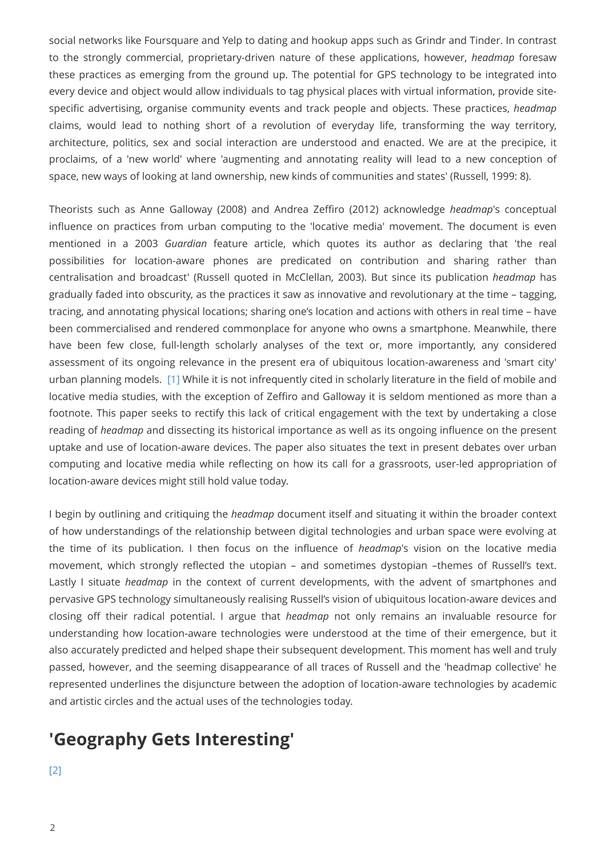social networks like Foursquare and Yelp to dating and hookup apps such as Grindr and Tinder. In contrast to the strongly commercial, proprietary-driven nature of these applications, however, *headmap* foresaw these practices as emerging from the ground up. The potential for GPS technology to be integrated into every device and object would allow individuals to tag physical places with virtual information, provide sitespecific advertising, organise community events and track people and objects. These practices, *headmap* claims, would lead to nothing short of a revolution of everyday life, transforming the way territory, architecture, politics, sex and social interaction are understood and enacted. We are at the precipice, it proclaims, of a 'new world' where 'augmenting and annotating reality will lead to a new conception of space, new ways of looking at land ownership, new kinds of communities and states' (Russell, 1999: 8).

Theorists such as Anne Galloway (2008) and Andrea Zeffiro (2012) acknowledge *headmap*'s conceptual influence on practices from urban computing to the 'locative media' movement. The document is even mentioned in a 2003 *Guardian* feature article, which quotes its author as declaring that 'the real possibilities for location-aware phones are predicated on contribution and sharing rather than centralisation and broadcast' (Russell quoted in McClellan, 2003). But since its publication *headmap* has gradually faded into obscurity, as the practices it saw as innovative and revolutionary at the time – tagging, tracing, and annotating physical locations; sharing one's location and actions with others in real time – have been commercialised and rendered commonplace for anyone who owns a smartphone. Meanwhile, there have been few close, full-length scholarly analyses of the text or, more importantly, any considered assessment of its ongoing relevance in the present era of ubiquitous location-awareness and 'smart city' urban planning models. [\[1\]](#page-16-0) While it is not infrequently cited in scholarly literature in the field of mobile and locative media studies, with the exception of Zeffiro and Galloway it is seldom mentioned as more than a footnote. This paper seeks to rectify this lack of critical engagement with the text by undertaking a close reading of *headmap* and dissecting its historical importance as well as its ongoing influence on the present uptake and use of location-aware devices. The paper also situates the text in present debates over urban computing and locative media while reflecting on how its call for a grassroots, user-led appropriation of location-aware devices might still hold value today.

<span id="page-1-0"></span>I begin by outlining and critiquing the *headmap* document itself and situating it within the broader context of how understandings of the relationship between digital technologies and urban space were evolving at the time of its publication. I then focus on the influence of *headmap*'s vision on the locative media movement, which strongly reflected the utopian – and sometimes dystopian –themes of Russell's text. Lastly I situate *headmap* in the context of current developments, with the advent of smartphones and pervasive GPS technology simultaneously realising Russell's vision of ubiquitous location-aware devices and closing off their radical potential. I argue that *headmap* not only remains an invaluable resource for understanding how location-aware technologies were understood at the time of their emergence, but it also accurately predicted and helped shape their subsequent development. This moment has well and truly passed, however, and the seeming disappearance of all traces of Russell and the 'headmap collective' he represented underlines the disjuncture between the adoption of location-aware technologies by academic and artistic circles and the actual uses of the technologies today.

### <span id="page-1-1"></span>**'Geography Gets Interesting'**

[\[2\]](#page-16-1)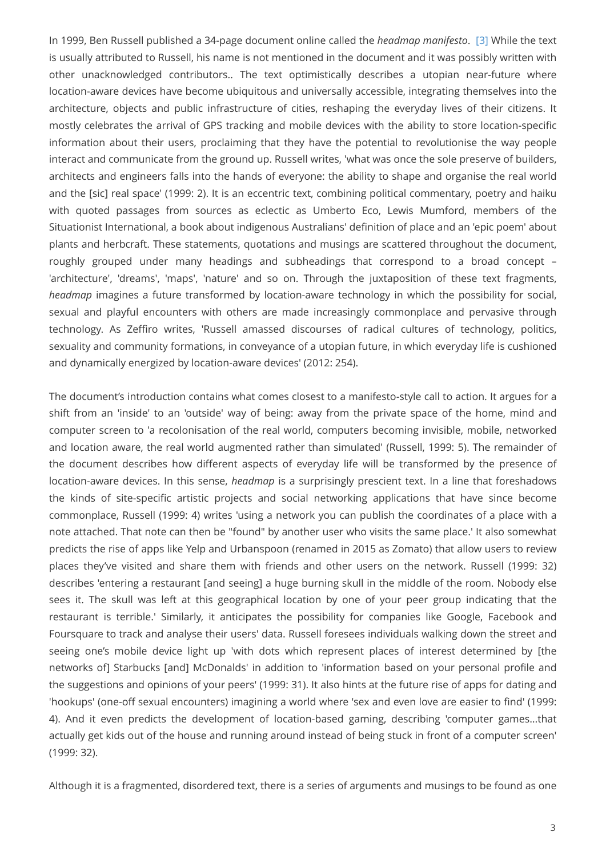In 1999, Ben Russell published a 34-page document online called the *headmap manifesto*. [\[3\]](#page-16-2) While the text is usually attributed to Russell, his name is not mentioned in the document and it was possibly written with other unacknowledged contributors.. The text optimistically describes a utopian near-future where location-aware devices have become ubiquitous and universally accessible, integrating themselves into the architecture, objects and public infrastructure of cities, reshaping the everyday lives of their citizens. It mostly celebrates the arrival of GPS tracking and mobile devices with the ability to store location-specific information about their users, proclaiming that they have the potential to revolutionise the way people interact and communicate from the ground up. Russell writes, 'what was once the sole preserve of builders, architects and engineers falls into the hands of everyone: the ability to shape and organise the real world and the [sic] real space' (1999: 2). It is an eccentric text, combining political commentary, poetry and haiku with quoted passages from sources as eclectic as Umberto Eco, Lewis Mumford, members of the Situationist International, a book about indigenous Australians' definition of place and an 'epic poem' about plants and herbcraft. These statements, quotations and musings are scattered throughout the document, roughly grouped under many headings and subheadings that correspond to a broad concept – 'architecture', 'dreams', 'maps', 'nature' and so on. Through the juxtaposition of these text fragments, *headmap* imagines a future transformed by location-aware technology in which the possibility for social, sexual and playful encounters with others are made increasingly commonplace and pervasive through technology. As Zeffiro writes, 'Russell amassed discourses of radical cultures of technology, politics, sexuality and community formations, in conveyance of a utopian future, in which everyday life is cushioned and dynamically energized by location-aware devices' (2012: 254).

The document's introduction contains what comes closest to a manifesto-style call to action. It argues for a shift from an 'inside' to an 'outside' way of being: away from the private space of the home, mind and computer screen to 'a recolonisation of the real world, computers becoming invisible, mobile, networked and location aware, the real world augmented rather than simulated' (Russell, 1999: 5). The remainder of the document describes how different aspects of everyday life will be transformed by the presence of location-aware devices. In this sense, *headmap* is a surprisingly prescient text. In a line that foreshadows the kinds of site-specific artistic projects and social networking applications that have since become commonplace, Russell (1999: 4) writes 'using a network you can publish the coordinates of a place with a note attached. That note can then be "found" by another user who visits the same place.' It also somewhat predicts the rise of apps like Yelp and Urbanspoon (renamed in 2015 as Zomato) that allow users to review places they've visited and share them with friends and other users on the network. Russell (1999: 32) describes 'entering a restaurant [and seeing] a huge burning skull in the middle of the room. Nobody else sees it. The skull was left at this geographical location by one of your peer group indicating that the restaurant is terrible.' Similarly, it anticipates the possibility for companies like Google, Facebook and Foursquare to track and analyse their users' data. Russell foresees individuals walking down the street and seeing one's mobile device light up 'with dots which represent places of interest determined by [the networks of] Starbucks [and] McDonalds' in addition to 'information based on your personal profile and the suggestions and opinions of your peers' (1999: 31). It also hints at the future rise of apps for dating and 'hookups' (one-off sexual encounters) imagining a world where 'sex and even love are easier to find' (1999: 4). And it even predicts the development of location-based gaming, describing 'computer games…that actually get kids out of the house and running around instead of being stuck in front of a computer screen' (1999: 32).

Although it is a fragmented, disordered text, there is a series of arguments and musings to be found as one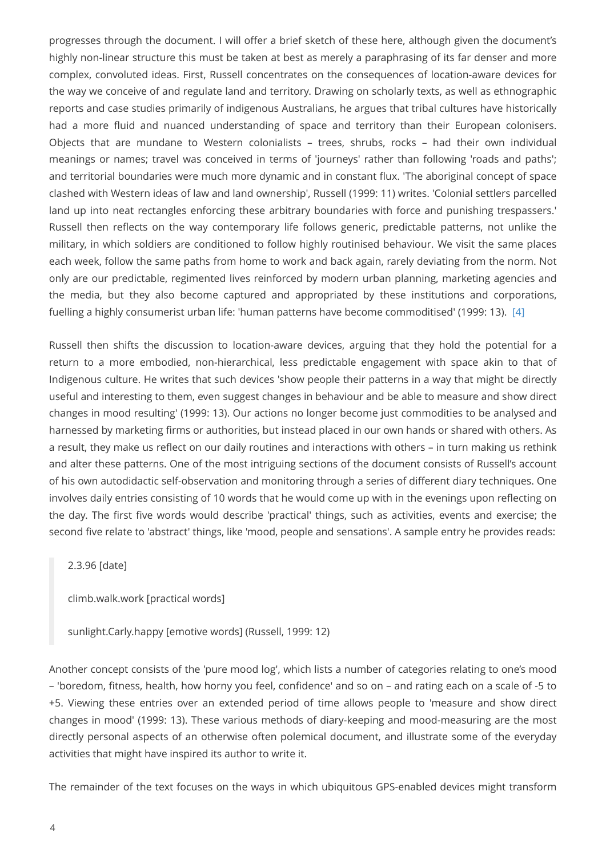progresses through the document. I will offer a brief sketch of these here, although given the document's highly non-linear structure this must be taken at best as merely a paraphrasing of its far denser and more complex, convoluted ideas. First, Russell concentrates on the consequences of location-aware devices for the way we conceive of and regulate land and territory. Drawing on scholarly texts, as well as ethnographic reports and case studies primarily of indigenous Australians, he argues that tribal cultures have historically had a more fluid and nuanced understanding of space and territory than their European colonisers. Objects that are mundane to Western colonialists – trees, shrubs, rocks – had their own individual meanings or names; travel was conceived in terms of 'journeys' rather than following 'roads and paths'; and territorial boundaries were much more dynamic and in constant flux. 'The aboriginal concept of space clashed with Western ideas of law and land ownership', Russell (1999: 11) writes. 'Colonial settlers parcelled land up into neat rectangles enforcing these arbitrary boundaries with force and punishing trespassers.' Russell then reflects on the way contemporary life follows generic, predictable patterns, not unlike the military, in which soldiers are conditioned to follow highly routinised behaviour. We visit the same places each week, follow the same paths from home to work and back again, rarely deviating from the norm. Not only are our predictable, regimented lives reinforced by modern urban planning, marketing agencies and the media, but they also become captured and appropriated by these institutions and corporations, fuelling a highly consumerist urban life: 'human patterns have become commoditised' (1999: 13). [\[4\]](#page-16-3)

<span id="page-3-0"></span>Russell then shifts the discussion to location-aware devices, arguing that they hold the potential for a return to a more embodied, non-hierarchical, less predictable engagement with space akin to that of Indigenous culture. He writes that such devices 'show people their patterns in a way that might be directly useful and interesting to them, even suggest changes in behaviour and be able to measure and show direct changes in mood resulting' (1999: 13). Our actions no longer become just commodities to be analysed and harnessed by marketing firms or authorities, but instead placed in our own hands or shared with others. As a result, they make us reflect on our daily routines and interactions with others – in turn making us rethink and alter these patterns. One of the most intriguing sections of the document consists of Russell's account of his own autodidactic self-observation and monitoring through a series of different diary techniques. One involves daily entries consisting of 10 words that he would come up with in the evenings upon reflecting on the day. The first five words would describe 'practical' things, such as activities, events and exercise; the second five relate to 'abstract' things, like 'mood, people and sensations'. A sample entry he provides reads:

2.3.96 [date]

climb.walk.work [practical words]

sunlight.Carly.happy [emotive words] (Russell, 1999: 12)

Another concept consists of the 'pure mood log', which lists a number of categories relating to one's mood – 'boredom, fitness, health, how horny you feel, confidence' and so on – and rating each on a scale of -5 to +5. Viewing these entries over an extended period of time allows people to 'measure and show direct changes in mood' (1999: 13). These various methods of diary-keeping and mood-measuring are the most directly personal aspects of an otherwise often polemical document, and illustrate some of the everyday activities that might have inspired its author to write it.

The remainder of the text focuses on the ways in which ubiquitous GPS-enabled devices might transform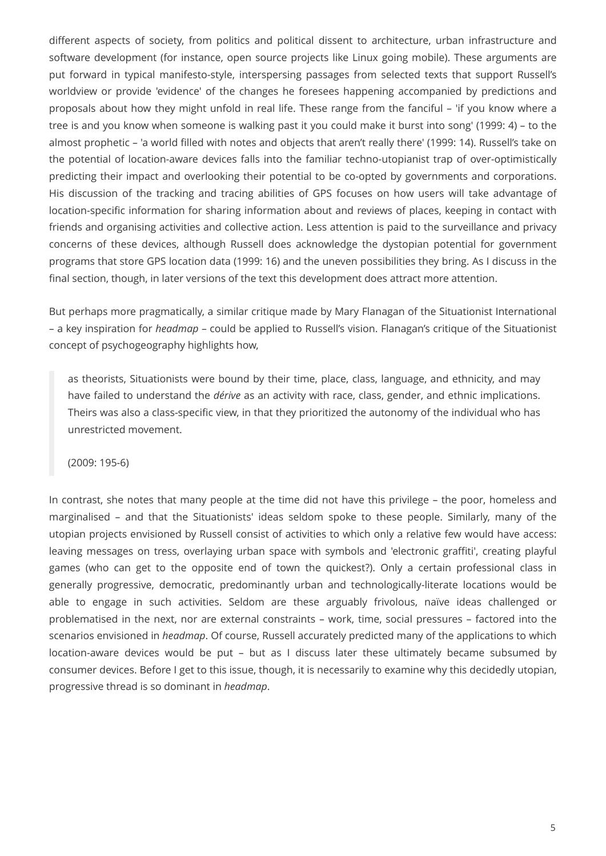different aspects of society, from politics and political dissent to architecture, urban infrastructure and software development (for instance, open source projects like Linux going mobile). These arguments are put forward in typical manifesto-style, interspersing passages from selected texts that support Russell's worldview or provide 'evidence' of the changes he foresees happening accompanied by predictions and proposals about how they might unfold in real life. These range from the fanciful – 'if you know where a tree is and you know when someone is walking past it you could make it burst into song' (1999: 4) – to the almost prophetic – 'a world filled with notes and objects that aren't really there' (1999: 14). Russell's take on the potential of location-aware devices falls into the familiar techno-utopianist trap of over-optimistically predicting their impact and overlooking their potential to be co-opted by governments and corporations. His discussion of the tracking and tracing abilities of GPS focuses on how users will take advantage of location-specific information for sharing information about and reviews of places, keeping in contact with friends and organising activities and collective action. Less attention is paid to the surveillance and privacy concerns of these devices, although Russell does acknowledge the dystopian potential for government programs that store GPS location data (1999: 16) and the uneven possibilities they bring. As I discuss in the final section, though, in later versions of the text this development does attract more attention.

But perhaps more pragmatically, a similar critique made by Mary Flanagan of the Situationist International – a key inspiration for *headmap* – could be applied to Russell's vision. Flanagan's critique of the Situationist concept of psychogeography highlights how,

as theorists, Situationists were bound by their time, place, class, language, and ethnicity, and may have failed to understand the *dérive* as an activity with race, class, gender, and ethnic implications. Theirs was also a class-specific view, in that they prioritized the autonomy of the individual who has unrestricted movement.

(2009: 195-6)

In contrast, she notes that many people at the time did not have this privilege – the poor, homeless and marginalised – and that the Situationists' ideas seldom spoke to these people. Similarly, many of the utopian projects envisioned by Russell consist of activities to which only a relative few would have access: leaving messages on tress, overlaying urban space with symbols and 'electronic graffiti', creating playful games (who can get to the opposite end of town the quickest?). Only a certain professional class in generally progressive, democratic, predominantly urban and technologically-literate locations would be able to engage in such activities. Seldom are these arguably frivolous, naïve ideas challenged or problematised in the next, nor are external constraints – work, time, social pressures – factored into the scenarios envisioned in *headmap*. Of course, Russell accurately predicted many of the applications to which location-aware devices would be put – but as I discuss later these ultimately became subsumed by consumer devices. Before I get to this issue, though, it is necessarily to examine why this decidedly utopian, progressive thread is so dominant in *headmap*.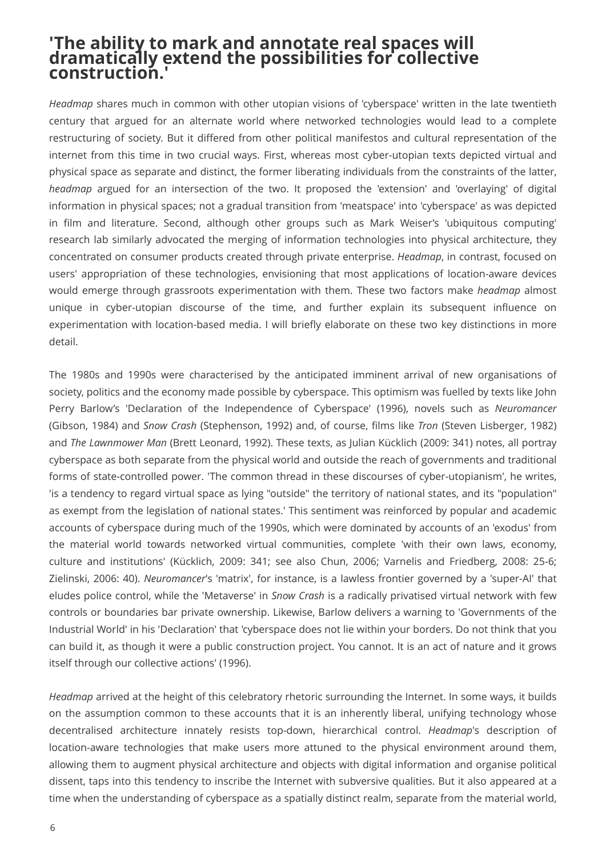#### **'The ability to mark and annotate real spaces will dramatically extend the possibilities for collective construction.'**

*Headmap* shares much in common with other utopian visions of 'cyberspace' written in the late twentieth century that argued for an alternate world where networked technologies would lead to a complete restructuring of society. But it differed from other political manifestos and cultural representation of the internet from this time in two crucial ways. First, whereas most cyber-utopian texts depicted virtual and physical space as separate and distinct, the former liberating individuals from the constraints of the latter, *headmap* argued for an intersection of the two. It proposed the 'extension' and 'overlaying' of digital information in physical spaces; not a gradual transition from 'meatspace' into 'cyberspace' as was depicted in film and literature. Second, although other groups such as Mark Weiser's 'ubiquitous computing' research lab similarly advocated the merging of information technologies into physical architecture, they concentrated on consumer products created through private enterprise. *Headmap*, in contrast, focused on users' appropriation of these technologies, envisioning that most applications of location-aware devices would emerge through grassroots experimentation with them. These two factors make *headmap* almost unique in cyber-utopian discourse of the time, and further explain its subsequent influence on experimentation with location-based media. I will briefly elaborate on these two key distinctions in more detail.

The 1980s and 1990s were characterised by the anticipated imminent arrival of new organisations of society, politics and the economy made possible by cyberspace. This optimism was fuelled by texts like John Perry Barlow's 'Declaration of the Independence of Cyberspace' (1996), novels such as *Neuromancer* (Gibson, 1984) and *Snow Crash* (Stephenson, 1992) and, of course, films like *Tron* (Steven Lisberger, 1982) and *The Lawnmower Man* (Brett Leonard, 1992). These texts, as Julian Kücklich (2009: 341) notes, all portray cyberspace as both separate from the physical world and outside the reach of governments and traditional forms of state-controlled power. 'The common thread in these discourses of cyber-utopianism', he writes, 'is a tendency to regard virtual space as lying "outside" the territory of national states, and its "population" as exempt from the legislation of national states.' This sentiment was reinforced by popular and academic accounts of cyberspace during much of the 1990s, which were dominated by accounts of an 'exodus' from the material world towards networked virtual communities, complete 'with their own laws, economy, culture and institutions' (Kücklich, 2009: 341; see also Chun, 2006; Varnelis and Friedberg, 2008: 25-6; Zielinski, 2006: 40). *Neuromancer*'s 'matrix', for instance, is a lawless frontier governed by a 'super-AI' that eludes police control, while the 'Metaverse' in *Snow Crash* is a radically privatised virtual network with few controls or boundaries bar private ownership. Likewise, Barlow delivers a warning to 'Governments of the Industrial World' in his 'Declaration' that 'cyberspace does not lie within your borders. Do not think that you can build it, as though it were a public construction project. You cannot. It is an act of nature and it grows itself through our collective actions' (1996).

*Headmap* arrived at the height of this celebratory rhetoric surrounding the Internet. In some ways, it builds on the assumption common to these accounts that it is an inherently liberal, unifying technology whose decentralised architecture innately resists top-down, hierarchical control. *Headmap*'s description of location-aware technologies that make users more attuned to the physical environment around them, allowing them to augment physical architecture and objects with digital information and organise political dissent, taps into this tendency to inscribe the Internet with subversive qualities. But it also appeared at a time when the understanding of cyberspace as a spatially distinct realm, separate from the material world,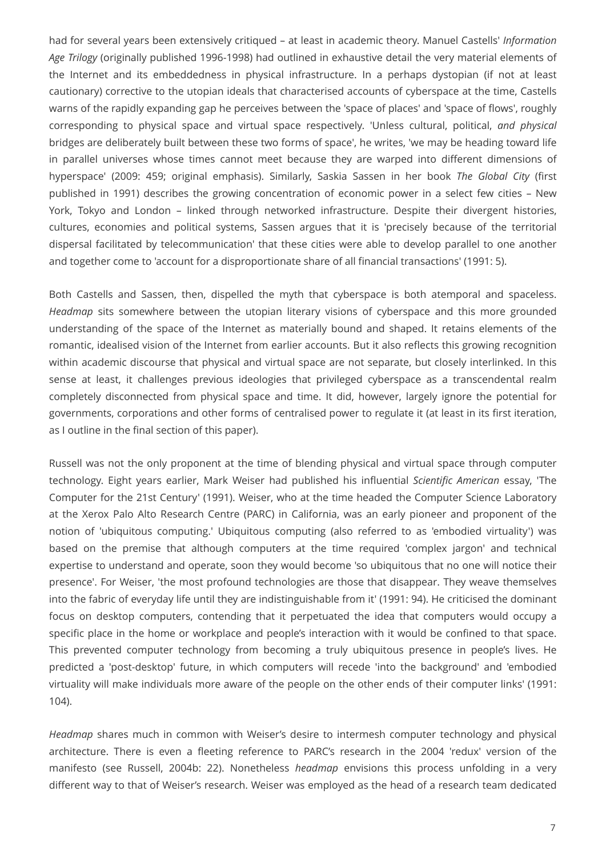had for several years been extensively critiqued – at least in academic theory. Manuel Castells' *Information Age Trilogy* (originally published 1996-1998) had outlined in exhaustive detail the very material elements of the Internet and its embeddedness in physical infrastructure. In a perhaps dystopian (if not at least cautionary) corrective to the utopian ideals that characterised accounts of cyberspace at the time, Castells warns of the rapidly expanding gap he perceives between the 'space of places' and 'space of flows', roughly corresponding to physical space and virtual space respectively. 'Unless cultural, political, *and physical* bridges are deliberately built between these two forms of space', he writes, 'we may be heading toward life in parallel universes whose times cannot meet because they are warped into different dimensions of hyperspace' (2009: 459; original emphasis). Similarly, Saskia Sassen in her book *The Global City* (first published in 1991) describes the growing concentration of economic power in a select few cities – New York, Tokyo and London – linked through networked infrastructure. Despite their divergent histories, cultures, economies and political systems, Sassen argues that it is 'precisely because of the territorial dispersal facilitated by telecommunication' that these cities were able to develop parallel to one another and together come to 'account for a disproportionate share of all financial transactions' (1991: 5).

Both Castells and Sassen, then, dispelled the myth that cyberspace is both atemporal and spaceless. *Headmap* sits somewhere between the utopian literary visions of cyberspace and this more grounded understanding of the space of the Internet as materially bound and shaped. It retains elements of the romantic, idealised vision of the Internet from earlier accounts. But it also reflects this growing recognition within academic discourse that physical and virtual space are not separate, but closely interlinked. In this sense at least, it challenges previous ideologies that privileged cyberspace as a transcendental realm completely disconnected from physical space and time. It did, however, largely ignore the potential for governments, corporations and other forms of centralised power to regulate it (at least in its first iteration, as I outline in the final section of this paper).

Russell was not the only proponent at the time of blending physical and virtual space through computer technology. Eight years earlier, Mark Weiser had published his influential *Scientific American* essay, 'The Computer for the 21st Century' (1991). Weiser, who at the time headed the Computer Science Laboratory at the Xerox Palo Alto Research Centre (PARC) in California, was an early pioneer and proponent of the notion of 'ubiquitous computing.' Ubiquitous computing (also referred to as 'embodied virtuality') was based on the premise that although computers at the time required 'complex jargon' and technical expertise to understand and operate, soon they would become 'so ubiquitous that no one will notice their presence'. For Weiser, 'the most profound technologies are those that disappear. They weave themselves into the fabric of everyday life until they are indistinguishable from it' (1991: 94). He criticised the dominant focus on desktop computers, contending that it perpetuated the idea that computers would occupy a specific place in the home or workplace and people's interaction with it would be confined to that space. This prevented computer technology from becoming a truly ubiquitous presence in people's lives. He predicted a 'post-desktop' future, in which computers will recede 'into the background' and 'embodied virtuality will make individuals more aware of the people on the other ends of their computer links' (1991: 104).

*Headmap* shares much in common with Weiser's desire to intermesh computer technology and physical architecture. There is even a fleeting reference to PARC's research in the 2004 'redux' version of the manifesto (see Russell, 2004b: 22). Nonetheless *headmap* envisions this process unfolding in a very different way to that of Weiser's research. Weiser was employed as the head of a research team dedicated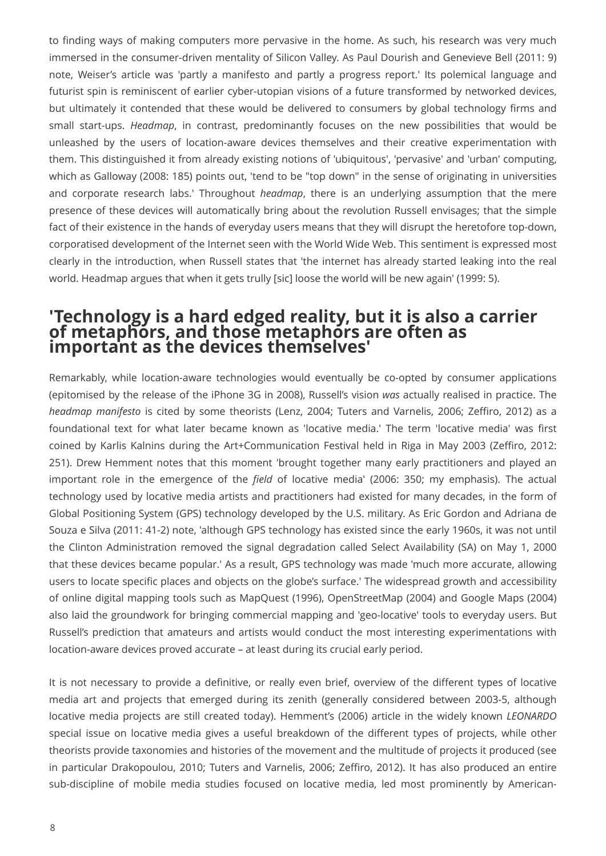to finding ways of making computers more pervasive in the home. As such, his research was very much immersed in the consumer-driven mentality of Silicon Valley. As Paul Dourish and Genevieve Bell (2011: 9) note, Weiser's article was 'partly a manifesto and partly a progress report.' Its polemical language and futurist spin is reminiscent of earlier cyber-utopian visions of a future transformed by networked devices, but ultimately it contended that these would be delivered to consumers by global technology firms and small start-ups. *Headmap*, in contrast, predominantly focuses on the new possibilities that would be unleashed by the users of location-aware devices themselves and their creative experimentation with them. This distinguished it from already existing notions of 'ubiquitous', 'pervasive' and 'urban' computing, which as Galloway (2008: 185) points out, 'tend to be "top down" in the sense of originating in universities and corporate research labs.' Throughout *headmap*, there is an underlying assumption that the mere presence of these devices will automatically bring about the revolution Russell envisages; that the simple fact of their existence in the hands of everyday users means that they will disrupt the heretofore top-down, corporatised development of the Internet seen with the World Wide Web. This sentiment is expressed most clearly in the introduction, when Russell states that 'the internet has already started leaking into the real world. Headmap argues that when it gets trully [sic] loose the world will be new again' (1999: 5).

#### **'Technology is a hard edged reality, but it is also a carrier of metaphors, and those metaphors are often as important as the devices themselves'**

Remarkably, while location-aware technologies would eventually be co-opted by consumer applications (epitomised by the release of the iPhone 3G in 2008), Russell's vision *was* actually realised in practice. The *headmap manifesto* is cited by some theorists (Lenz, 2004; Tuters and Varnelis, 2006; Zeffiro, 2012) as a foundational text for what later became known as 'locative media.' The term 'locative media' was first coined by Karlis Kalnins during the Art+Communication Festival held in Riga in May 2003 (Zeffiro, 2012: 251). Drew Hemment notes that this moment 'brought together many early practitioners and played an important role in the emergence of the *field* of locative media' (2006: 350; my emphasis). The actual technology used by locative media artists and practitioners had existed for many decades, in the form of Global Positioning System (GPS) technology developed by the U.S. military. As Eric Gordon and Adriana de Souza e Silva (2011: 41-2) note, 'although GPS technology has existed since the early 1960s, it was not until the Clinton Administration removed the signal degradation called Select Availability (SA) on May 1, 2000 that these devices became popular.' As a result, GPS technology was made 'much more accurate, allowing users to locate specific places and objects on the globe's surface.' The widespread growth and accessibility of online digital mapping tools such as MapQuest (1996), OpenStreetMap (2004) and Google Maps (2004) also laid the groundwork for bringing commercial mapping and 'geo-locative' tools to everyday users. But Russell's prediction that amateurs and artists would conduct the most interesting experimentations with location-aware devices proved accurate – at least during its crucial early period.

It is not necessary to provide a definitive, or really even brief, overview of the different types of locative media art and projects that emerged during its zenith (generally considered between 2003-5, although locative media projects are still created today). Hemment's (2006) article in the widely known *LEONARDO* special issue on locative media gives a useful breakdown of the different types of projects, while other theorists provide taxonomies and histories of the movement and the multitude of projects it produced (see in particular Drakopoulou, 2010; Tuters and Varnelis, 2006; Zeffiro, 2012). It has also produced an entire sub-discipline of mobile media studies focused on locative media, led most prominently by American-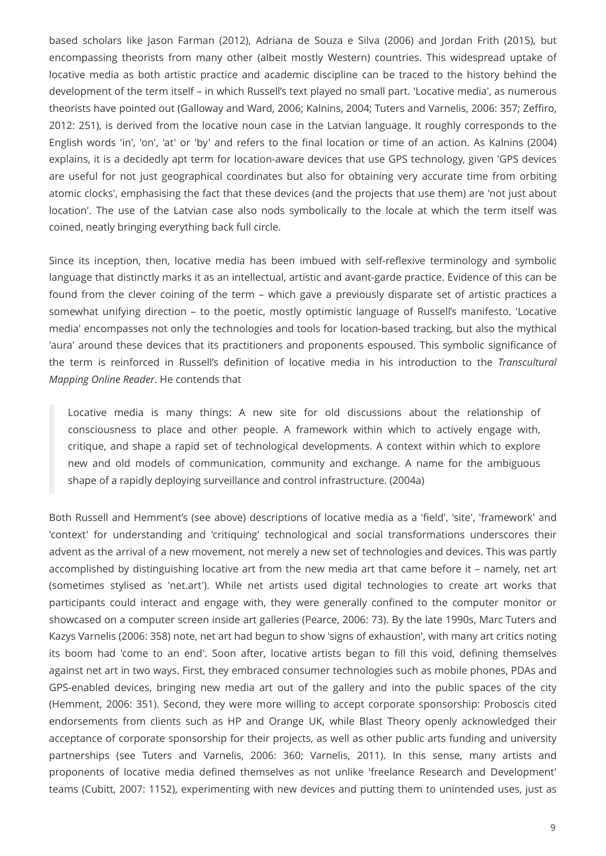based scholars like Jason Farman (2012), Adriana de Souza e Silva (2006) and Jordan Frith (2015), but encompassing theorists from many other (albeit mostly Western) countries. This widespread uptake of locative media as both artistic practice and academic discipline can be traced to the history behind the development of the term itself – in which Russell's text played no small part. 'Locative media', as numerous theorists have pointed out (Galloway and Ward, 2006; Kalnins, 2004; Tuters and Varnelis, 2006: 357; Zeffiro, 2012: 251), is derived from the locative noun case in the Latvian language. It roughly corresponds to the English words 'in', 'on', 'at' or 'by' and refers to the final location or time of an action. As Kalnins (2004) explains, it is a decidedly apt term for location-aware devices that use GPS technology, given 'GPS devices are useful for not just geographical coordinates but also for obtaining very accurate time from orbiting atomic clocks', emphasising the fact that these devices (and the projects that use them) are 'not just about location'. The use of the Latvian case also nods symbolically to the locale at which the term itself was coined, neatly bringing everything back full circle.

Since its inception, then, locative media has been imbued with self-reflexive terminology and symbolic language that distinctly marks it as an intellectual, artistic and avant-garde practice. Evidence of this can be found from the clever coining of the term – which gave a previously disparate set of artistic practices a somewhat unifying direction – to the poetic, mostly optimistic language of Russell's manifesto. 'Locative media' encompasses not only the technologies and tools for location-based tracking, but also the mythical 'aura' around these devices that its practitioners and proponents espoused. This symbolic significance of the term is reinforced in Russell's definition of locative media in his introduction to the *Transcultural Mapping Online Reader*. He contends that

Locative media is many things: A new site for old discussions about the relationship of consciousness to place and other people. A framework within which to actively engage with, critique, and shape a rapid set of technological developments. A context within which to explore new and old models of communication, community and exchange. A name for the ambiguous shape of a rapidly deploying surveillance and control infrastructure. (2004a)

Both Russell and Hemment's (see above) descriptions of locative media as a 'field', 'site', 'framework' and 'context' for understanding and 'critiquing' technological and social transformations underscores their advent as the arrival of a new movement, not merely a new set of technologies and devices. This was partly accomplished by distinguishing locative art from the new media art that came before it – namely, net art (sometimes stylised as 'net.art'). While net artists used digital technologies to create art works that participants could interact and engage with, they were generally confined to the computer monitor or showcased on a computer screen inside art galleries (Pearce, 2006: 73). By the late 1990s, Marc Tuters and Kazys Varnelis (2006: 358) note, net art had begun to show 'signs of exhaustion', with many art critics noting its boom had 'come to an end'. Soon after, locative artists began to fill this void, defining themselves against net art in two ways. First, they embraced consumer technologies such as mobile phones, PDAs and GPS-enabled devices, bringing new media art out of the gallery and into the public spaces of the city (Hemment, 2006: 351). Second, they were more willing to accept corporate sponsorship: Proboscis cited endorsements from clients such as HP and Orange UK, while Blast Theory openly acknowledged their acceptance of corporate sponsorship for their projects, as well as other public arts funding and university partnerships (see Tuters and Varnelis, 2006: 360; Varnelis, 2011). In this sense, many artists and proponents of locative media defined themselves as not unlike 'freelance Research and Development' teams (Cubitt, 2007: 1152), experimenting with new devices and putting them to unintended uses, just as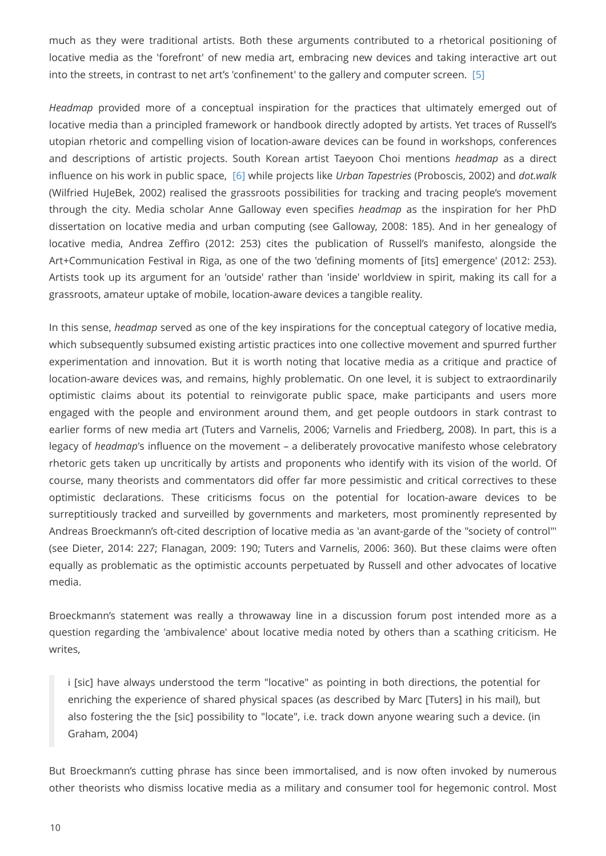much as they were traditional artists. Both these arguments contributed to a rhetorical positioning of locative media as the 'forefront' of new media art, embracing new devices and taking interactive art out into the streets, in contrast to net art's 'confinement' to the gallery and computer screen. [\[5\]](#page-17-0)

<span id="page-9-1"></span><span id="page-9-0"></span>*Headmap* provided more of a conceptual inspiration for the practices that ultimately emerged out of locative media than a principled framework or handbook directly adopted by artists. Yet traces of Russell's utopian rhetoric and compelling vision of location-aware devices can be found in workshops, conferences and descriptions of artistic projects. South Korean artist Taeyoon Choi mentions *headmap* as a direct influence on his work in public space, [\[6\]](#page-17-1) while projects like *Urban Tapestries* (Proboscis, 2002) and *dot.walk* (Wilfried HuJeBek, 2002) realised the grassroots possibilities for tracking and tracing people's movement through the city. Media scholar Anne Galloway even specifies *headmap* as the inspiration for her PhD dissertation on locative media and urban computing (see Galloway, 2008: 185). And in her genealogy of locative media, Andrea Zeffiro (2012: 253) cites the publication of Russell's manifesto, alongside the Art+Communication Festival in Riga, as one of the two 'defining moments of [its] emergence' (2012: 253). Artists took up its argument for an 'outside' rather than 'inside' worldview in spirit, making its call for a grassroots, amateur uptake of mobile, location-aware devices a tangible reality.

In this sense, *headmap* served as one of the key inspirations for the conceptual category of locative media, which subsequently subsumed existing artistic practices into one collective movement and spurred further experimentation and innovation. But it is worth noting that locative media as a critique and practice of location-aware devices was, and remains, highly problematic. On one level, it is subject to extraordinarily optimistic claims about its potential to reinvigorate public space, make participants and users more engaged with the people and environment around them, and get people outdoors in stark contrast to earlier forms of new media art (Tuters and Varnelis, 2006; Varnelis and Friedberg, 2008). In part, this is a legacy of *headmap*'s influence on the movement – a deliberately provocative manifesto whose celebratory rhetoric gets taken up uncritically by artists and proponents who identify with its vision of the world. Of course, many theorists and commentators did offer far more pessimistic and critical correctives to these optimistic declarations. These criticisms focus on the potential for location-aware devices to be surreptitiously tracked and surveilled by governments and marketers, most prominently represented by Andreas Broeckmann's oft-cited description of locative media as 'an avant-garde of the "society of control"' (see Dieter, 2014: 227; Flanagan, 2009: 190; Tuters and Varnelis, 2006: 360). But these claims were often equally as problematic as the optimistic accounts perpetuated by Russell and other advocates of locative media.

Broeckmann's statement was really a throwaway line in a discussion forum post intended more as a question regarding the 'ambivalence' about locative media noted by others than a scathing criticism. He writes,

i [sic] have always understood the term "locative" as pointing in both directions, the potential for enriching the experience of shared physical spaces (as described by Marc [Tuters] in his mail), but also fostering the the [sic] possibility to "locate", i.e. track down anyone wearing such a device. (in Graham, 2004)

But Broeckmann's cutting phrase has since been immortalised, and is now often invoked by numerous other theorists who dismiss locative media as a military and consumer tool for hegemonic control. Most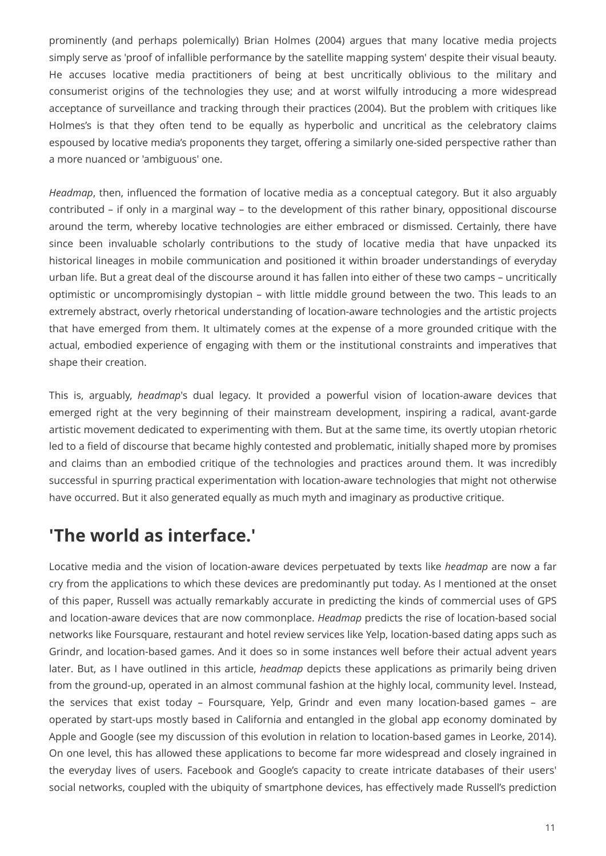prominently (and perhaps polemically) Brian Holmes (2004) argues that many locative media projects simply serve as 'proof of infallible performance by the satellite mapping system' despite their visual beauty. He accuses locative media practitioners of being at best uncritically oblivious to the military and consumerist origins of the technologies they use; and at worst wilfully introducing a more widespread acceptance of surveillance and tracking through their practices (2004). But the problem with critiques like Holmes's is that they often tend to be equally as hyperbolic and uncritical as the celebratory claims espoused by locative media's proponents they target, offering a similarly one-sided perspective rather than a more nuanced or 'ambiguous' one.

*Headmap*, then, influenced the formation of locative media as a conceptual category. But it also arguably contributed – if only in a marginal way – to the development of this rather binary, oppositional discourse around the term, whereby locative technologies are either embraced or dismissed. Certainly, there have since been invaluable scholarly contributions to the study of locative media that have unpacked its historical lineages in mobile communication and positioned it within broader understandings of everyday urban life. But a great deal of the discourse around it has fallen into either of these two camps – uncritically optimistic or uncompromisingly dystopian – with little middle ground between the two. This leads to an extremely abstract, overly rhetorical understanding of location-aware technologies and the artistic projects that have emerged from them. It ultimately comes at the expense of a more grounded critique with the actual, embodied experience of engaging with them or the institutional constraints and imperatives that shape their creation.

This is, arguably, *headmap*'s dual legacy. It provided a powerful vision of location-aware devices that emerged right at the very beginning of their mainstream development, inspiring a radical, avant-garde artistic movement dedicated to experimenting with them. But at the same time, its overtly utopian rhetoric led to a field of discourse that became highly contested and problematic, initially shaped more by promises and claims than an embodied critique of the technologies and practices around them. It was incredibly successful in spurring practical experimentation with location-aware technologies that might not otherwise have occurred. But it also generated equally as much myth and imaginary as productive critique.

# **'The world as interface.'**

Locative media and the vision of location-aware devices perpetuated by texts like *headmap* are now a far cry from the applications to which these devices are predominantly put today. As I mentioned at the onset of this paper, Russell was actually remarkably accurate in predicting the kinds of commercial uses of GPS and location-aware devices that are now commonplace. *Headmap* predicts the rise of location-based social networks like Foursquare, restaurant and hotel review services like Yelp, location-based dating apps such as Grindr, and location-based games. And it does so in some instances well before their actual advent years later. But, as I have outlined in this article, *headmap* depicts these applications as primarily being driven from the ground-up, operated in an almost communal fashion at the highly local, community level. Instead, the services that exist today – Foursquare, Yelp, Grindr and even many location-based games – are operated by start-ups mostly based in California and entangled in the global app economy dominated by Apple and Google (see my discussion of this evolution in relation to location-based games in Leorke, 2014). On one level, this has allowed these applications to become far more widespread and closely ingrained in the everyday lives of users. Facebook and Google's capacity to create intricate databases of their users' social networks, coupled with the ubiquity of smartphone devices, has effectively made Russell's prediction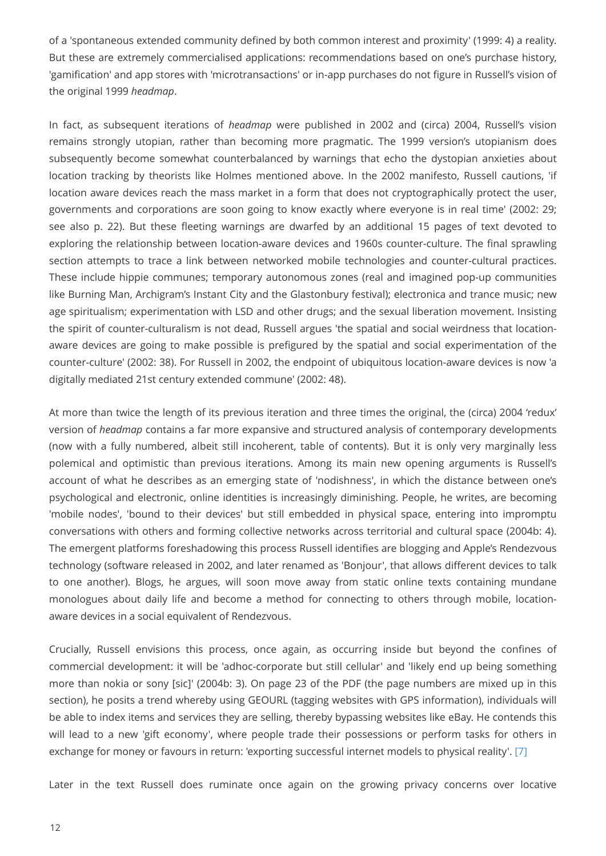of a 'spontaneous extended community defined by both common interest and proximity' (1999: 4) a reality. But these are extremely commercialised applications: recommendations based on one's purchase history, 'gamification' and app stores with 'microtransactions' or in-app purchases do not figure in Russell's vision of the original 1999 *headmap*.

In fact, as subsequent iterations of *headmap* were published in 2002 and (circa) 2004, Russell's vision remains strongly utopian, rather than becoming more pragmatic. The 1999 version's utopianism does subsequently become somewhat counterbalanced by warnings that echo the dystopian anxieties about location tracking by theorists like Holmes mentioned above. In the 2002 manifesto, Russell cautions, 'if location aware devices reach the mass market in a form that does not cryptographically protect the user, governments and corporations are soon going to know exactly where everyone is in real time' (2002: 29; see also p. 22). But these fleeting warnings are dwarfed by an additional 15 pages of text devoted to exploring the relationship between location-aware devices and 1960s counter-culture. The final sprawling section attempts to trace a link between networked mobile technologies and counter-cultural practices. These include hippie communes; temporary autonomous zones (real and imagined pop-up communities like Burning Man, Archigram's Instant City and the Glastonbury festival); electronica and trance music; new age spiritualism; experimentation with LSD and other drugs; and the sexual liberation movement. Insisting the spirit of counter-culturalism is not dead, Russell argues 'the spatial and social weirdness that locationaware devices are going to make possible is prefigured by the spatial and social experimentation of the counter-culture' (2002: 38). For Russell in 2002, the endpoint of ubiquitous location-aware devices is now 'a digitally mediated 21st century extended commune' (2002: 48).

At more than twice the length of its previous iteration and three times the original, the (circa) 2004 'redux' version of *headmap* contains a far more expansive and structured analysis of contemporary developments (now with a fully numbered, albeit still incoherent, table of contents). But it is only very marginally less polemical and optimistic than previous iterations. Among its main new opening arguments is Russell's account of what he describes as an emerging state of 'nodishness', in which the distance between one's psychological and electronic, online identities is increasingly diminishing. People, he writes, are becoming 'mobile nodes', 'bound to their devices' but still embedded in physical space, entering into impromptu conversations with others and forming collective networks across territorial and cultural space (2004b: 4). The emergent platforms foreshadowing this process Russell identifies are blogging and Apple's Rendezvous technology (software released in 2002, and later renamed as 'Bonjour', that allows different devices to talk to one another). Blogs, he argues, will soon move away from static online texts containing mundane monologues about daily life and become a method for connecting to others through mobile, locationaware devices in a social equivalent of Rendezvous.

Crucially, Russell envisions this process, once again, as occurring inside but beyond the confines of commercial development: it will be 'adhoc-corporate but still cellular' and 'likely end up being something more than nokia or sony [sic]' (2004b: 3). On page 23 of the PDF (the page numbers are mixed up in this section), he posits a trend whereby using GEOURL (tagging websites with GPS information), individuals will be able to index items and services they are selling, thereby bypassing websites like eBay. He contends this will lead to a new 'gift economy', where people trade their possessions or perform tasks for others in exchange for money or favours in return: 'exporting successful internet models to physical reality'. [\[7\]](#page-17-2)

<span id="page-11-0"></span>Later in the text Russell does ruminate once again on the growing privacy concerns over locative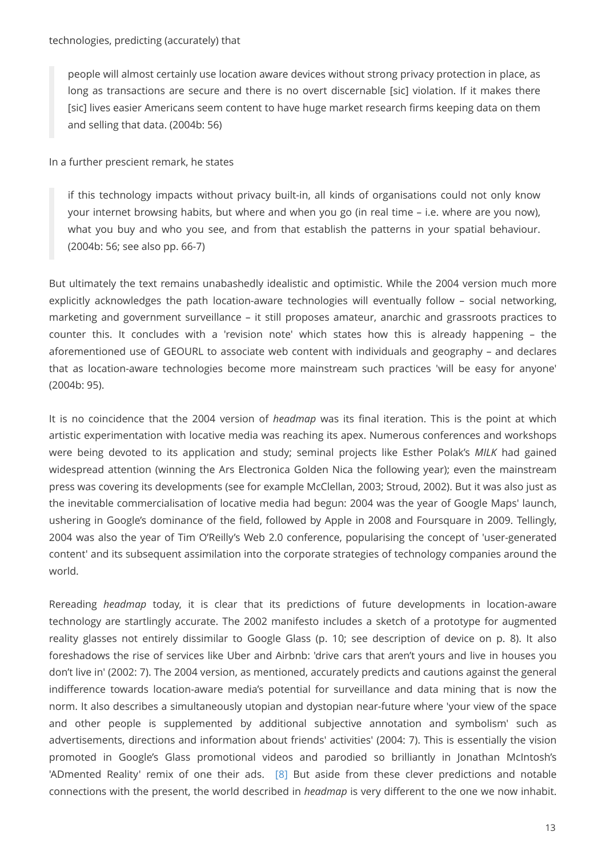people will almost certainly use location aware devices without strong privacy protection in place, as long as transactions are secure and there is no overt discernable [sic] violation. If it makes there [sic] lives easier Americans seem content to have huge market research firms keeping data on them and selling that data. (2004b: 56)

In a further prescient remark, he states

if this technology impacts without privacy built-in, all kinds of organisations could not only know your internet browsing habits, but where and when you go (in real time – i.e. where are you now), what you buy and who you see, and from that establish the patterns in your spatial behaviour. (2004b: 56; see also pp. 66-7)

But ultimately the text remains unabashedly idealistic and optimistic. While the 2004 version much more explicitly acknowledges the path location-aware technologies will eventually follow – social networking, marketing and government surveillance – it still proposes amateur, anarchic and grassroots practices to counter this. It concludes with a 'revision note' which states how this is already happening – the aforementioned use of GEOURL to associate web content with individuals and geography – and declares that as location-aware technologies become more mainstream such practices 'will be easy for anyone' (2004b: 95).

It is no coincidence that the 2004 version of *headmap* was its final iteration. This is the point at which artistic experimentation with locative media was reaching its apex. Numerous conferences and workshops were being devoted to its application and study; seminal projects like Esther Polak's *MILK* had gained widespread attention (winning the Ars Electronica Golden Nica the following year); even the mainstream press was covering its developments (see for example McClellan, 2003; Stroud, 2002). But it was also just as the inevitable commercialisation of locative media had begun: 2004 was the year of Google Maps' launch, ushering in Google's dominance of the field, followed by Apple in 2008 and Foursquare in 2009. Tellingly, 2004 was also the year of Tim O'Reilly's Web 2.0 conference, popularising the concept of 'user-generated content' and its subsequent assimilation into the corporate strategies of technology companies around the world.

<span id="page-12-0"></span>Rereading *headmap* today, it is clear that its predictions of future developments in location-aware technology are startlingly accurate. The 2002 manifesto includes a sketch of a prototype for augmented reality glasses not entirely dissimilar to Google Glass (p. 10; see description of device on p. 8). It also foreshadows the rise of services like Uber and Airbnb: 'drive cars that aren't yours and live in houses you don't live in' (2002: 7). The 2004 version, as mentioned, accurately predicts and cautions against the general indifference towards location-aware media's potential for surveillance and data mining that is now the norm. It also describes a simultaneously utopian and dystopian near-future where 'your view of the space and other people is supplemented by additional subjective annotation and symbolism' such as advertisements, directions and information about friends' activities' (2004: 7). This is essentially the vision promoted in Google's Glass promotional videos and parodied so brilliantly in Jonathan McIntosh's 'ADmented Reality' remix of one their ads. [\[8\]](#page-17-3) But aside from these clever predictions and notable connections with the present, the world described in *headmap* is very different to the one we now inhabit.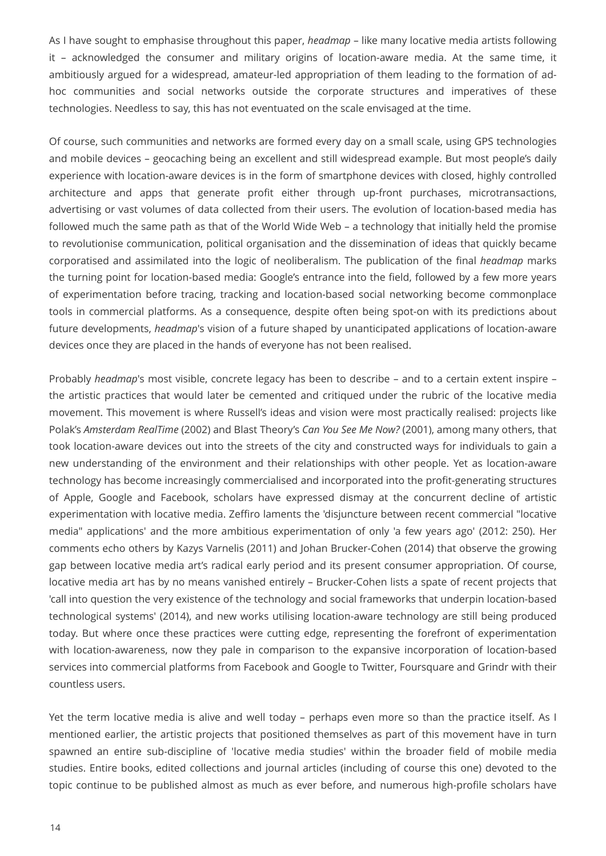As I have sought to emphasise throughout this paper, *headmap* – like many locative media artists following it – acknowledged the consumer and military origins of location-aware media. At the same time, it ambitiously argued for a widespread, amateur-led appropriation of them leading to the formation of adhoc communities and social networks outside the corporate structures and imperatives of these technologies. Needless to say, this has not eventuated on the scale envisaged at the time.

Of course, such communities and networks are formed every day on a small scale, using GPS technologies and mobile devices – geocaching being an excellent and still widespread example. But most people's daily experience with location-aware devices is in the form of smartphone devices with closed, highly controlled architecture and apps that generate profit either through up-front purchases, microtransactions, advertising or vast volumes of data collected from their users. The evolution of location-based media has followed much the same path as that of the World Wide Web – a technology that initially held the promise to revolutionise communication, political organisation and the dissemination of ideas that quickly became corporatised and assimilated into the logic of neoliberalism. The publication of the final *headmap* marks the turning point for location-based media: Google's entrance into the field, followed by a few more years of experimentation before tracing, tracking and location-based social networking become commonplace tools in commercial platforms. As a consequence, despite often being spot-on with its predictions about future developments, *headmap*'s vision of a future shaped by unanticipated applications of location-aware devices once they are placed in the hands of everyone has not been realised.

Probably *headmap*'s most visible, concrete legacy has been to describe – and to a certain extent inspire – the artistic practices that would later be cemented and critiqued under the rubric of the locative media movement. This movement is where Russell's ideas and vision were most practically realised: projects like Polak's *Amsterdam RealTime* (2002) and Blast Theory's *Can You See Me Now?* (2001), among many others, that took location-aware devices out into the streets of the city and constructed ways for individuals to gain a new understanding of the environment and their relationships with other people. Yet as location-aware technology has become increasingly commercialised and incorporated into the profit-generating structures of Apple, Google and Facebook, scholars have expressed dismay at the concurrent decline of artistic experimentation with locative media. Zeffiro laments the 'disjuncture between recent commercial "locative media" applications' and the more ambitious experimentation of only 'a few years ago' (2012: 250). Her comments echo others by Kazys Varnelis (2011) and Johan Brucker-Cohen (2014) that observe the growing gap between locative media art's radical early period and its present consumer appropriation. Of course, locative media art has by no means vanished entirely – Brucker-Cohen lists a spate of recent projects that 'call into question the very existence of the technology and social frameworks that underpin location-based technological systems' (2014), and new works utilising location-aware technology are still being produced today. But where once these practices were cutting edge, representing the forefront of experimentation with location-awareness, now they pale in comparison to the expansive incorporation of location-based services into commercial platforms from Facebook and Google to Twitter, Foursquare and Grindr with their countless users.

Yet the term locative media is alive and well today - perhaps even more so than the practice itself. As I mentioned earlier, the artistic projects that positioned themselves as part of this movement have in turn spawned an entire sub-discipline of 'locative media studies' within the broader field of mobile media studies. Entire books, edited collections and journal articles (including of course this one) devoted to the topic continue to be published almost as much as ever before, and numerous high-profile scholars have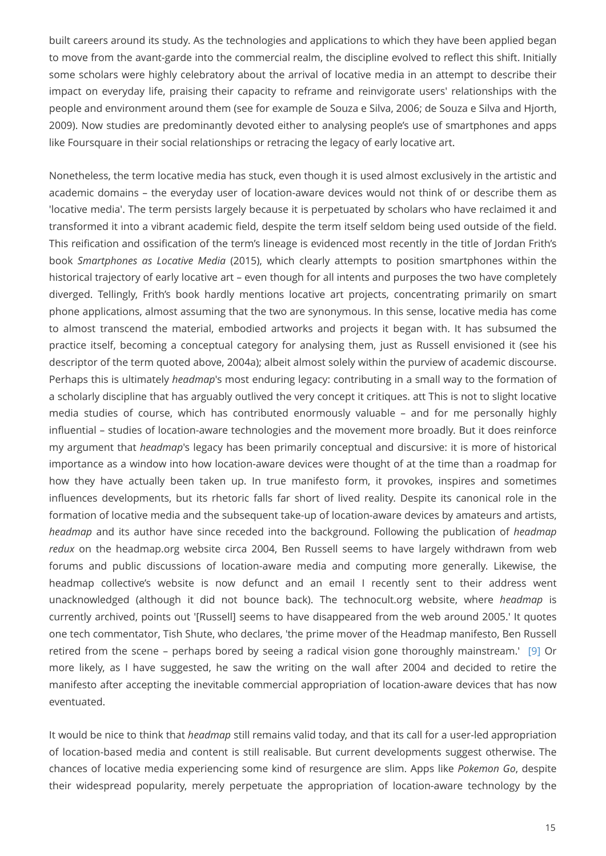built careers around its study. As the technologies and applications to which they have been applied began to move from the avant-garde into the commercial realm, the discipline evolved to reflect this shift. Initially some scholars were highly celebratory about the arrival of locative media in an attempt to describe their impact on everyday life, praising their capacity to reframe and reinvigorate users' relationships with the people and environment around them (see for example de Souza e Silva, 2006; de Souza e Silva and Hjorth, 2009). Now studies are predominantly devoted either to analysing people's use of smartphones and apps like Foursquare in their social relationships or retracing the legacy of early locative art.

Nonetheless, the term locative media has stuck, even though it is used almost exclusively in the artistic and academic domains – the everyday user of location-aware devices would not think of or describe them as 'locative media'. The term persists largely because it is perpetuated by scholars who have reclaimed it and transformed it into a vibrant academic field, despite the term itself seldom being used outside of the field. This reification and ossification of the term's lineage is evidenced most recently in the title of Jordan Frith's book *Smartphones as Locative Media* (2015), which clearly attempts to position smartphones within the historical trajectory of early locative art – even though for all intents and purposes the two have completely diverged. Tellingly, Frith's book hardly mentions locative art projects, concentrating primarily on smart phone applications, almost assuming that the two are synonymous. In this sense, locative media has come to almost transcend the material, embodied artworks and projects it began with. It has subsumed the practice itself, becoming a conceptual category for analysing them, just as Russell envisioned it (see his descriptor of the term quoted above, 2004a); albeit almost solely within the purview of academic discourse. Perhaps this is ultimately *headmap*'s most enduring legacy: contributing in a small way to the formation of a scholarly discipline that has arguably outlived the very concept it critiques. att This is not to slight locative media studies of course, which has contributed enormously valuable – and for me personally highly influential – studies of location-aware technologies and the movement more broadly. But it does reinforce my argument that *headmap*'s legacy has been primarily conceptual and discursive: it is more of historical importance as a window into how location-aware devices were thought of at the time than a roadmap for how they have actually been taken up. In true manifesto form, it provokes, inspires and sometimes influences developments, but its rhetoric falls far short of lived reality. Despite its canonical role in the formation of locative media and the subsequent take-up of location-aware devices by amateurs and artists, *headmap* and its author have since receded into the background. Following the publication of *headmap redux* on the headmap.org website circa 2004, Ben Russell seems to have largely withdrawn from web forums and public discussions of location-aware media and computing more generally. Likewise, the headmap collective's website is now defunct and an email I recently sent to their address went unacknowledged (although it did not bounce back). The technocult.org website, where *headmap* is currently archived, points out '[Russell] seems to have disappeared from the web around 2005.' It quotes one tech commentator, Tish Shute, who declares, 'the prime mover of the Headmap manifesto, Ben Russell retired from the scene – perhaps bored by seeing a radical vision gone thoroughly mainstream.' [\[9\]](#page-17-4) Or more likely, as I have suggested, he saw the writing on the wall after 2004 and decided to retire the manifesto after accepting the inevitable commercial appropriation of location-aware devices that has now eventuated.

<span id="page-14-0"></span>It would be nice to think that *headmap* still remains valid today, and that its call for a user-led appropriation of location-based media and content is still realisable. But current developments suggest otherwise. The chances of locative media experiencing some kind of resurgence are slim. Apps like *Pokemon Go*, despite their widespread popularity, merely perpetuate the appropriation of location-aware technology by the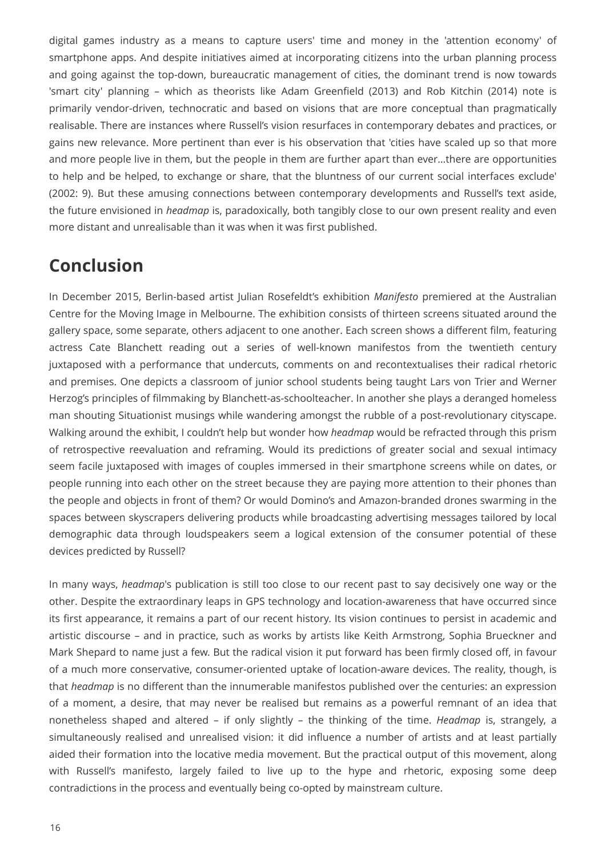digital games industry as a means to capture users' time and money in the 'attention economy' of smartphone apps. And despite initiatives aimed at incorporating citizens into the urban planning process and going against the top-down, bureaucratic management of cities, the dominant trend is now towards 'smart city' planning – which as theorists like Adam Greenfield (2013) and Rob Kitchin (2014) note is primarily vendor-driven, technocratic and based on visions that are more conceptual than pragmatically realisable. There are instances where Russell's vision resurfaces in contemporary debates and practices, or gains new relevance. More pertinent than ever is his observation that 'cities have scaled up so that more and more people live in them, but the people in them are further apart than ever…there are opportunities to help and be helped, to exchange or share, that the bluntness of our current social interfaces exclude' (2002: 9). But these amusing connections between contemporary developments and Russell's text aside, the future envisioned in *headmap* is, paradoxically, both tangibly close to our own present reality and even more distant and unrealisable than it was when it was first published.

### **Conclusion**

In December 2015, Berlin-based artist Julian Rosefeldt's exhibition *Manifesto* premiered at the Australian Centre for the Moving Image in Melbourne. The exhibition consists of thirteen screens situated around the gallery space, some separate, others adjacent to one another. Each screen shows a different film, featuring actress Cate Blanchett reading out a series of well-known manifestos from the twentieth century juxtaposed with a performance that undercuts, comments on and recontextualises their radical rhetoric and premises. One depicts a classroom of junior school students being taught Lars von Trier and Werner Herzog's principles of filmmaking by Blanchett-as-schoolteacher. In another she plays a deranged homeless man shouting Situationist musings while wandering amongst the rubble of a post-revolutionary cityscape. Walking around the exhibit, I couldn't help but wonder how *headmap* would be refracted through this prism of retrospective reevaluation and reframing. Would its predictions of greater social and sexual intimacy seem facile juxtaposed with images of couples immersed in their smartphone screens while on dates, or people running into each other on the street because they are paying more attention to their phones than the people and objects in front of them? Or would Domino's and Amazon-branded drones swarming in the spaces between skyscrapers delivering products while broadcasting advertising messages tailored by local demographic data through loudspeakers seem a logical extension of the consumer potential of these devices predicted by Russell?

In many ways, *headmap*'s publication is still too close to our recent past to say decisively one way or the other. Despite the extraordinary leaps in GPS technology and location-awareness that have occurred since its first appearance, it remains a part of our recent history. Its vision continues to persist in academic and artistic discourse – and in practice, such as works by artists like Keith Armstrong, Sophia Brueckner and Mark Shepard to name just a few. But the radical vision it put forward has been firmly closed off, in favour of a much more conservative, consumer-oriented uptake of location-aware devices. The reality, though, is that *headmap* is no different than the innumerable manifestos published over the centuries: an expression of a moment, a desire, that may never be realised but remains as a powerful remnant of an idea that nonetheless shaped and altered – if only slightly – the thinking of the time. *Headmap* is, strangely, a simultaneously realised and unrealised vision: it did influence a number of artists and at least partially aided their formation into the locative media movement. But the practical output of this movement, along with Russell's manifesto, largely failed to live up to the hype and rhetoric, exposing some deep contradictions in the process and eventually being co-opted by mainstream culture.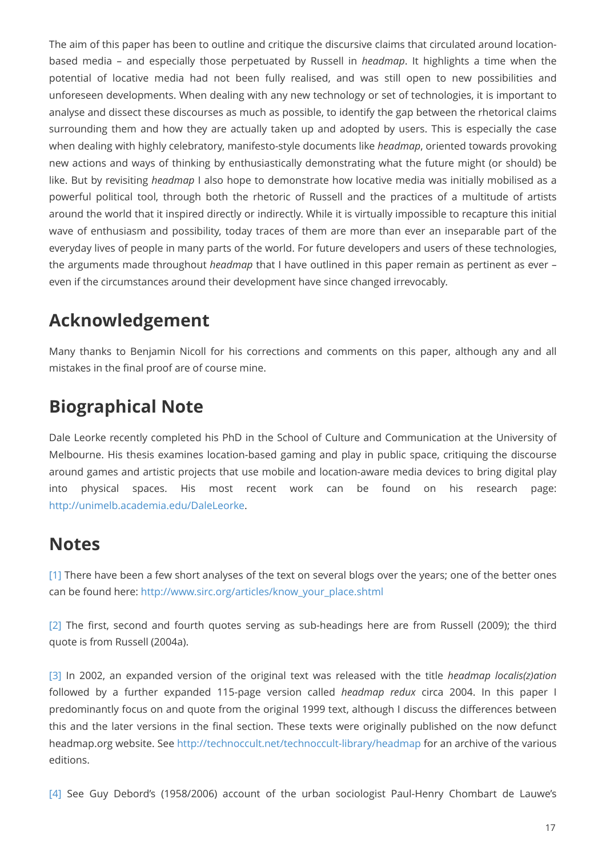The aim of this paper has been to outline and critique the discursive claims that circulated around locationbased media – and especially those perpetuated by Russell in *headmap*. It highlights a time when the potential of locative media had not been fully realised, and was still open to new possibilities and unforeseen developments. When dealing with any new technology or set of technologies, it is important to analyse and dissect these discourses as much as possible, to identify the gap between the rhetorical claims surrounding them and how they are actually taken up and adopted by users. This is especially the case when dealing with highly celebratory, manifesto-style documents like *headmap*, oriented towards provoking new actions and ways of thinking by enthusiastically demonstrating what the future might (or should) be like. But by revisiting *headmap* I also hope to demonstrate how locative media was initially mobilised as a powerful political tool, through both the rhetoric of Russell and the practices of a multitude of artists around the world that it inspired directly or indirectly. While it is virtually impossible to recapture this initial wave of enthusiasm and possibility, today traces of them are more than ever an inseparable part of the everyday lives of people in many parts of the world. For future developers and users of these technologies, the arguments made throughout *headmap* that I have outlined in this paper remain as pertinent as ever – even if the circumstances around their development have since changed irrevocably.

## **Acknowledgement**

Many thanks to Benjamin Nicoll for his corrections and comments on this paper, although any and all mistakes in the final proof are of course mine.

# **Biographical Note**

Dale Leorke recently completed his PhD in the School of Culture and Communication at the University of Melbourne. His thesis examines location-based gaming and play in public space, critiquing the discourse around games and artistic projects that use mobile and location-aware media devices to bring digital play into physical spaces. His most recent work can be found on his research page: <http://unimelb.academia.edu/DaleLeorke>.

### **Notes**

<span id="page-16-0"></span>[\[1\]](#page-1-0) There have been a few short analyses of the text on several blogs over the years; one of the better ones can be found here: [http://www.sirc.org/articles/know\\_your\\_place.shtml](http://www.sirc.org/articles/know_your_place.shtml)

<span id="page-16-1"></span>[\[2\]](#page-1-1) The first, second and fourth quotes serving as sub-headings here are from Russell (2009); the third quote is from Russell (2004a).

<span id="page-16-2"></span>[3] In 2002, an expanded version of the original text was released with the title *headmap localis(z)ation* followed by a further expanded 115-page version called *headmap redux* circa 2004. In this paper I predominantly focus on and quote from the original 1999 text, although I discuss the differences between this and the later versions in the final section. These texts were originally published on the now defunct headmap.org website. See <http://technoccult.net/technoccult-library/headmap>for an archive of the various editions.

<span id="page-16-3"></span>[\[4\]](#page-3-0) See Guy Debord's (1958/2006) account of the urban sociologist Paul-Henry Chombart de Lauwe's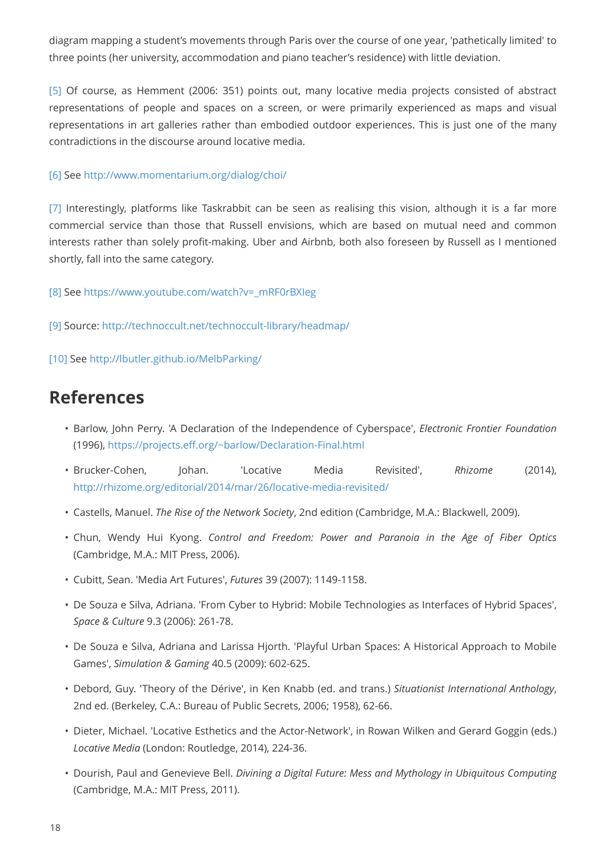diagram mapping a student's movements through Paris over the course of one year, 'pathetically limited' to three points (her university, accommodation and piano teacher's residence) with little deviation.

<span id="page-17-0"></span>[\[5\]](#page-9-0) Of course, as Hemment (2006: 351) points out, many locative media projects consisted of abstract representations of people and spaces on a screen, or were primarily experienced as maps and visual representations in art galleries rather than embodied outdoor experiences. This is just one of the many contradictions in the discourse around locative media.

#### <span id="page-17-1"></span>[\[6\]](#page-9-1) See<http://www.momentarium.org/dialog/choi/>

<span id="page-17-2"></span>[\[7\]](#page-11-0) Interestingly, platforms like Taskrabbit can be seen as realising this vision, although it is a far more commercial service than those that Russell envisions, which are based on mutual need and common interests rather than solely profit-making. Uber and Airbnb, both also foreseen by Russell as I mentioned shortly, fall into the same category.

<span id="page-17-3"></span>[\[8\]](#page-12-0) See [https://www.youtube.com/watch?v=\\_mRF0rBXIeg](https://www.youtube.com/watch?v=_mRF0rBXIeg)

<span id="page-17-4"></span>[\[9\]](#page-14-0) Source:<http://technoccult.net/technoccult-library/headmap/>

[10] See<http://lbutler.github.io/MelbParking/>

### **References**

- Barlow, John Perry. 'A Declaration of the Independence of Cyberspace', *Electronic Frontier Foundation* (1996),<https://projects.eff.org/~barlow/Declaration-Final.html>
- Brucker-Cohen, Johan. 'Locative Media Revisited', *Rhizome* (2014), <http://rhizome.org/editorial/2014/mar/26/locative-media-revisited/>
- Castells, Manuel. *The Rise of the Network Society*, 2nd edition (Cambridge, M.A.: Blackwell, 2009).
- Chun, Wendy Hui Kyong. *Control and Freedom: Power and Paranoia in the Age of Fiber Optics* (Cambridge, M.A.: MIT Press, 2006).
- Cubitt, Sean. 'Media Art Futures', *Futures* 39 (2007): 1149-1158.
- De Souza e Silva, Adriana. 'From Cyber to Hybrid: Mobile Technologies as Interfaces of Hybrid Spaces', *Space & Culture* 9.3 (2006): 261-78.
- De Souza e Silva, Adriana and Larissa Hjorth. 'Playful Urban Spaces: A Historical Approach to Mobile Games', *Simulation & Gaming* 40.5 (2009): 602-625.
- Debord, Guy. 'Theory of the Dérive', in Ken Knabb (ed. and trans.) *Situationist International Anthology*, 2nd ed. (Berkeley, C.A.: Bureau of Public Secrets, 2006; 1958), 62-66.
- Dieter, Michael. 'Locative Esthetics and the Actor-Network', in Rowan Wilken and Gerard Goggin (eds.) *Locative Media* (London: Routledge, 2014), 224-36.
- Dourish, Paul and Genevieve Bell. *Divining a Digital Future: Mess and Mythology in Ubiquitous Computing* (Cambridge, M.A.: MIT Press, 2011).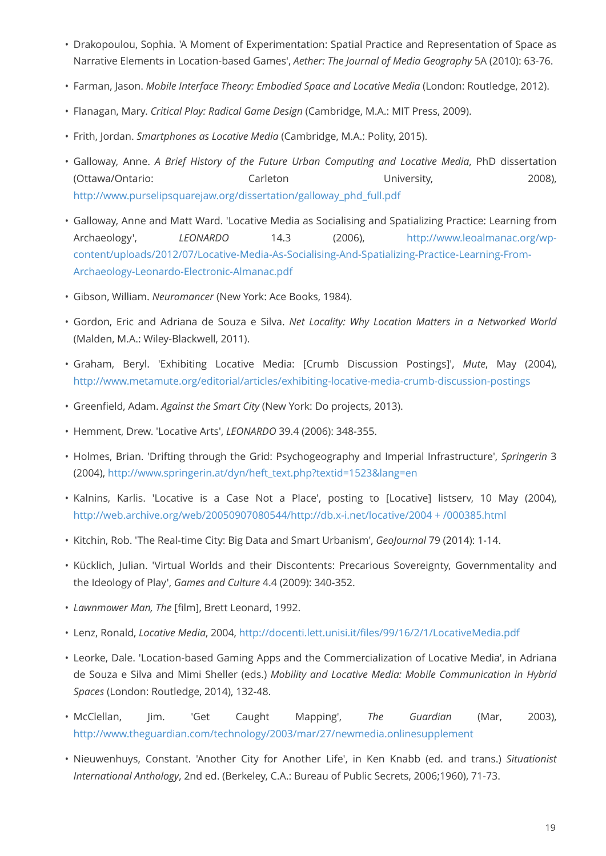- Drakopoulou, Sophia. 'A Moment of Experimentation: Spatial Practice and Representation of Space as Narrative Elements in Location-based Games', *Aether: The Journal of Media Geography* 5A (2010): 63-76.
- Farman, Jason. *Mobile Interface Theory: Embodied Space and Locative Media* (London: Routledge, 2012).
- Flanagan, Mary. *Critical Play: Radical Game Design* (Cambridge, M.A.: MIT Press, 2009).
- Frith, Jordan. *Smartphones as Locative Media* (Cambridge, M.A.: Polity, 2015).
- Galloway, Anne. *A Brief History of the Future Urban Computing and Locative Media*, PhD dissertation (Ottawa/Ontario: Carleton University, 2008), [http://www.purselipsquarejaw.org/dissertation/galloway\\_phd\\_full.pdf](http://www.purselipsquarejaw.org/dissertation/galloway_phd_full.pdf)
- Galloway, Anne and Matt Ward. 'Locative Media as Socialising and Spatializing Practice: Learning from Archaeology', *LEONARDO* 14.3 (2006), [http://www.leoalmanac.org/wp](http://www.leoalmanac.org/wp-content/uploads/2012/07/Locative-Media-As-Socialising-And-Spatializing-Practice-Learning-From-Archaeology-Leonardo-Electronic-Almanac.pdf)[content/uploads/2012/07/Locative-Media-As-Socialising-And-Spatializing-Practice-Learning-From-](http://www.leoalmanac.org/wp-content/uploads/2012/07/Locative-Media-As-Socialising-And-Spatializing-Practice-Learning-From-Archaeology-Leonardo-Electronic-Almanac.pdf)[Archaeology-Leonardo-Electronic-Almanac.pdf](http://www.leoalmanac.org/wp-content/uploads/2012/07/Locative-Media-As-Socialising-And-Spatializing-Practice-Learning-From-Archaeology-Leonardo-Electronic-Almanac.pdf)
- Gibson, William. *Neuromancer* (New York: Ace Books, 1984).
- Gordon, Eric and Adriana de Souza e Silva. *Net Locality: Why Location Matters in a Networked World* (Malden, M.A.: Wiley-Blackwell, 2011).
- Graham, Beryl. 'Exhibiting Locative Media: [Crumb Discussion Postings]', *Mute*, May (2004), <http://www.metamute.org/editorial/articles/exhibiting-locative-media-crumb-discussion-postings>
- Greenfield, Adam. *Against the Smart City* (New York: Do projects, 2013).
- Hemment, Drew. 'Locative Arts', *LEONARDO* 39.4 (2006): 348-355.
- Holmes, Brian. 'Drifting through the Grid: Psychogeography and Imperial Infrastructure', *Springerin* 3 (2004), [http://www.springerin.at/dyn/heft\\_text.php?textid=1523&lang=en](http://www.springerin.at/dyn/heft_text.php?textid=1523&lang=en)
- Kalnins, Karlis. 'Locative is a Case Not a Place', posting to [Locative] listserv, 10 May (2004), [http://web.archive.org/web/20050907080544/http://db.x-i.net/locative/2004 + /000385.html](http://web.archive.org/web/20050907080544/http://db.x-i.net/locative/2004/000385.html)
- Kitchin, Rob. 'The Real-time City: Big Data and Smart Urbanism', *GeoJournal* 79 (2014): 1-14.
- Kücklich, Julian. 'Virtual Worlds and their Discontents: Precarious Sovereignty, Governmentality and the Ideology of Play', *Games and Culture* 4.4 (2009): 340-352.
- *Lawnmower Man, The* [film], Brett Leonard, 1992.
- Lenz, Ronald, *Locative Media*, 2004,<http://docenti.lett.unisi.it/files/99/16/2/1/LocativeMedia.pdf>
- Leorke, Dale. 'Location-based Gaming Apps and the Commercialization of Locative Media', in Adriana de Souza e Silva and Mimi Sheller (eds.) *Mobility and Locative Media: Mobile Communication in Hybrid Spaces* (London: Routledge, 2014), 132-48.
- McClellan, Jim. 'Get Caught Mapping', *The Guardian* (Mar, 2003), <http://www.theguardian.com/technology/2003/mar/27/newmedia.onlinesupplement>
- Nieuwenhuys, Constant. 'Another City for Another Life', in Ken Knabb (ed. and trans.) *Situationist International Anthology*, 2nd ed. (Berkeley, C.A.: Bureau of Public Secrets, 2006;1960), 71-73.